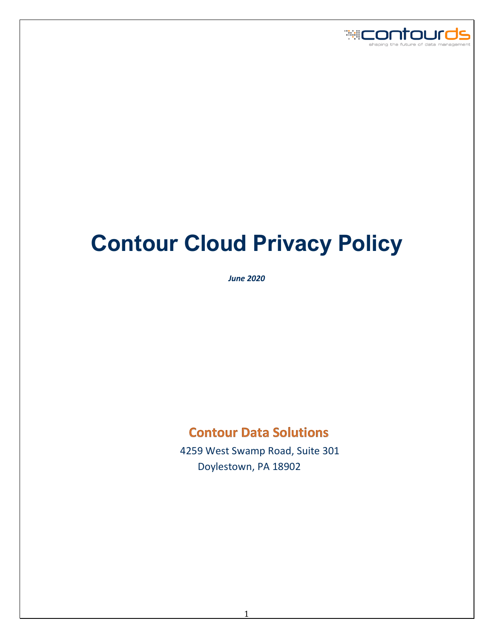

# **Contour Cloud Privacy Policy**

*June 2020*

# **Contour Data Solutions**

 4259 West Swamp Road, Suite 301 Doylestown, PA 18902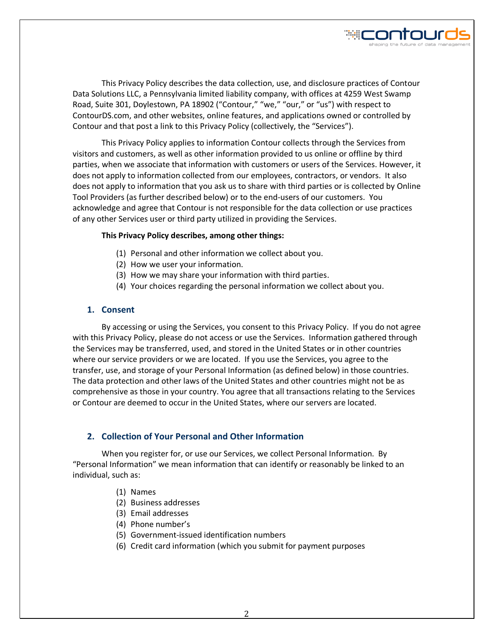

This Privacy Policy describes the data collection, use, and disclosure practices of Contour Data Solutions LLC, a Pennsylvania limited liability company, with offices at 4259 West Swamp Road, Suite 301, Doylestown, PA 18902 ("Contour," "we," "our," or "us") with respect to ContourDS.com, and other websites, online features, and applications owned or controlled by Contour and that post a link to this Privacy Policy (collectively, the "Services").

This Privacy Policy applies to information Contour collects through the Services from visitors and customers, as well as other information provided to us online or offline by third parties, when we associate that information with customers or users of the Services. However, it does not apply to information collected from our employees, contractors, or vendors. It also does not apply to information that you ask us to share with third parties or is collected by Online Tool Providers (as further described below) or to the end-users of our customers. You acknowledge and agree that Contour is not responsible for the data collection or use practices of any other Services user or third party utilized in providing the Services.

#### **This Privacy Policy describes, among other things:**

- (1) Personal and other information we collect about you.
- (2) How we user your information.
- (3) How we may share your information with third parties.
- (4) Your choices regarding the personal information we collect about you.

#### **1. Consent**

By accessing or using the Services, you consent to this Privacy Policy. If you do not agree with this Privacy Policy, please do not access or use the Services. Information gathered through the Services may be transferred, used, and stored in the United States or in other countries where our service providers or we are located. If you use the Services, you agree to the transfer, use, and storage of your Personal Information (as defined below) in those countries. The data protection and other laws of the United States and other countries might not be as comprehensive as those in your country. You agree that all transactions relating to the Services or Contour are deemed to occur in the United States, where our servers are located.

# <span id="page-1-0"></span>**2. Collection of Your Personal and Other Information**

When you register for, or use our Services, we collect Personal Information. By "Personal Information" we mean information that can identify or reasonably be linked to an individual, such as:

- (1) Names
- (2) Business addresses
- (3) Email addresses
- (4) Phone number's
- (5) Government-issued identification numbers
- (6) Credit card information (which you submit for payment purposes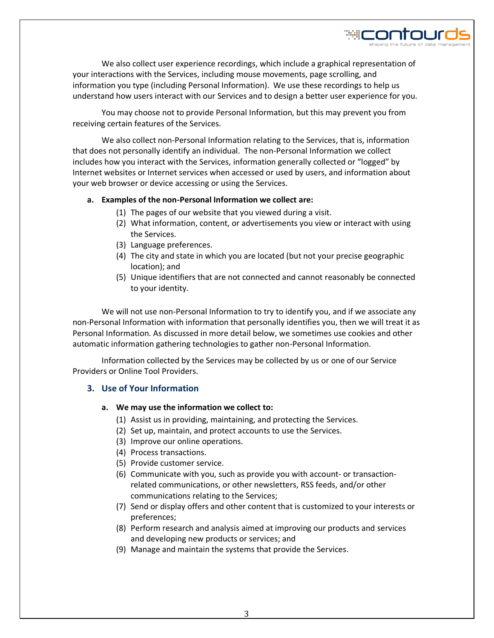

We also collect user experience recordings, which include a graphical representation of your interactions with the Services, including mouse movements, page scrolling, and information you type (including Personal Information). We use these recordings to help us understand how users interact with our Services and to design a better user experience for you.

You may choose not to provide Personal Information, but this may prevent you from receiving certain features of the Services.

We also collect non-Personal Information relating to the Services, that is, information that does not personally identify an individual. The non-Personal Information we collect includes how you interact with the Services, information generally collected or "logged" by Internet websites or Internet services when accessed or used by users, and information about your web browser or device accessing or using the Services.

#### **a. Examples of the non-Personal Information we collect are:**

- (1) The pages of our website that you viewed during a visit.
- (2) What information, content, or advertisements you view or interact with using the Services.
- (3) Language preferences.
- (4) The city and state in which you are located (but not your precise geographic location); and
- (5) Unique identifiers that are not connected and cannot reasonably be connected to your identity.

We will not use non-Personal Information to try to identify you, and if we associate any non-Personal Information with information that personally identifies you, then we will treat it as Personal Information. As discussed in more detail below, we sometimes use cookies and other automatic information gathering technologies to gather non-Personal Information.

Information collected by the Services may be collected by us or one of our Service Providers or Online Tool Providers.

# **3. Use of Your Information**

#### **a. We may use the information we collect to:**

- (1) Assist us in providing, maintaining, and protecting the Services.
- (2) Set up, maintain, and protect accounts to use the Services.
- (3) Improve our online operations.
- (4) Process transactions.
- (5) Provide customer service.
- (6) Communicate with you, such as provide you with account- or transactionrelated communications, or other newsletters, RSS feeds, and/or other communications relating to the Services;
- (7) Send or display offers and other content that is customized to your interests or preferences;
- (8) Perform research and analysis aimed at improving our products and services and developing new products or services; and
- (9) Manage and maintain the systems that provide the Services.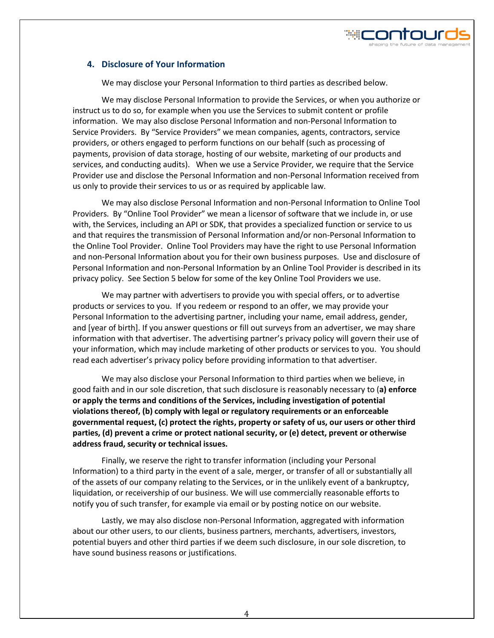# **4. Disclosure of Your Information**

We may disclose your Personal Information to third parties as described below.

We may disclose Personal Information to provide the Services, or when you authorize or instruct us to do so, for example when you use the Services to submit content or profile information. We may also disclose Personal Information and non-Personal Information to Service Providers. By "Service Providers" we mean companies, agents, contractors, service providers, or others engaged to perform functions on our behalf (such as processing of payments, provision of data storage, hosting of our website, marketing of our products and services, and conducting audits). When we use a Service Provider, we require that the Service Provider use and disclose the Personal Information and non-Personal Information received from us only to provide their services to us or as required by applicable law.

We may also disclose Personal Information and non-Personal Information to Online Tool Providers. By "Online Tool Provider" we mean a licensor of software that we include in, or use with, the Services, including an API or SDK, that provides a specialized function or service to us and that requires the transmission of Personal Information and/or non-Personal Information to the Online Tool Provider. Online Tool Providers may have the right to use Personal Information and non-Personal Information about you for their own business purposes. Use and disclosure of Personal Information and non-Personal Information by an Online Tool Provider is described in its privacy policy. See Section 5 below for some of the key Online Tool Providers we use.

We may partner with advertisers to provide you with special offers, or to advertise products or services to you. If you redeem or respond to an offer, we may provide your Personal Information to the advertising partner, including your name, email address, gender, and [year of birth]. If you answer questions or fill out surveys from an advertiser, we may share information with that advertiser. The advertising partner's privacy policy will govern their use of your information, which may include marketing of other products or services to you. You should read each advertiser's privacy policy before providing information to that advertiser.

We may also disclose your Personal Information to third parties when we believe, in good faith and in our sole discretion, that such disclosure is reasonably necessary to (**a) enforce or apply the terms and conditions of the Services, including investigation of potential violations thereof, (b) comply with legal or regulatory requirements or an enforceable governmental request, (c) protect the rights, property or safety of us, our users or other third parties, (d) prevent a crime or protect national security, or (e) detect, prevent or otherwise address fraud, security or technical issues.** 

Finally, we reserve the right to transfer information (including your Personal Information) to a third party in the event of a sale, merger, or transfer of all or substantially all of the assets of our company relating to the Services, or in the unlikely event of a bankruptcy, liquidation, or receivership of our business. We will use commercially reasonable efforts to notify you of such transfer, for example via email or by posting notice on our website.

Lastly, we may also disclose non-Personal Information, aggregated with information about our other users, to our clients, business partners, merchants, advertisers, investors, potential buyers and other third parties if we deem such disclosure, in our sole discretion, to have sound business reasons or justifications.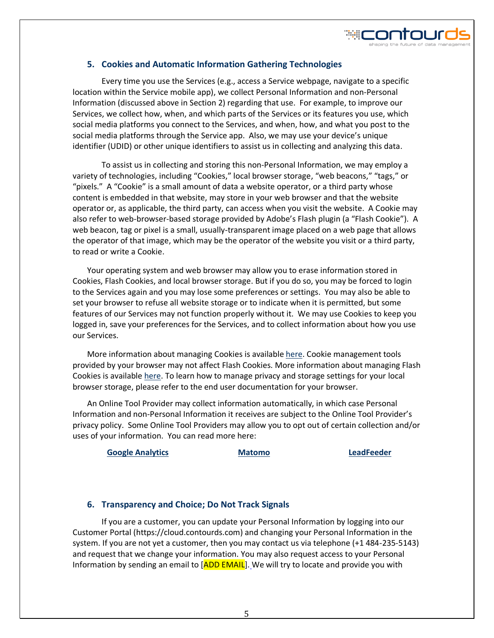

# **5. Cookies and Automatic Information Gathering Technologies**

Every time you use the Services (e.g., access a Service webpage, navigate to a specific location within the Service mobile app), we collect Personal Information and non-Personal Information (discussed above in Sectio[n 2\)](#page-1-0) regarding that use. For example, to improve our Services, we collect how, when, and which parts of the Services or its features you use, which social media platforms you connect to the Services, and when, how, and what you post to the social media platforms through the Service app. Also, we may use your device's unique identifier (UDID) or other unique identifiers to assist us in collecting and analyzing this data.

To assist us in collecting and storing this non-Personal Information, we may employ a variety of technologies, including "Cookies," local browser storage, "web beacons," "tags," or "pixels." A "Cookie" is a small amount of data a website operator, or a third party whose content is embedded in that website, may store in your web browser and that the website operator or, as applicable, the third party, can access when you visit the website. A Cookie may also refer to web-browser-based storage provided by Adobe's Flash plugin (a "Flash Cookie"). A web beacon, tag or pixel is a small, usually-transparent image placed on a web page that allows the operator of that image, which may be the operator of the website you visit or a third party, to read or write a Cookie.

Your operating system and web browser may allow you to erase information stored in Cookies, Flash Cookies, and local browser storage. But if you do so, you may be forced to login to the Services again and you may lose some preferences or settings. You may also be able to set your browser to refuse all website storage or to indicate when it is permitted, but some features of our Services may not function properly without it. We may use Cookies to keep you logged in, save your preferences for the Services, and to collect information about how you use our Services.

More information about managing Cookies is availabl[e here.](http://www.allaboutcookies.org/) Cookie management tools provided by your browser may not affect Flash Cookies. More information about managing Flash Cookies is available [here.](http://www.macromedia.com/support/documentation/en/flashplayer/help/settings_manager.html#117118) To learn how to manage privacy and storage settings for your local browser storage, please refer to the end user documentation for your browser.

An Online Tool Provider may collect information automatically, in which case Personal Information and non-Personal Information it receives are subject to the Online Tool Provider's privacy policy. Some Online Tool Providers may allow you to opt out of certain collection and/or uses of your information. You can read more here:

**[Google Analytics](https://www.google.com/intl/en/policies/privacy/) [Matomo](https://matomo.org/privacy-policy/) [LeadFeeder](https://www.leadfeeder.com/privacy/)**

# **6. Transparency and Choice; Do Not Track Signals**

If you are a customer, you can update your Personal Information by logging into our Customer Portal (https://cloud.contourds.com) and changing your Personal Information in the system. If you are not yet a customer, then you may contact us via telephone (+1 484-235-5143) and request that we change your information. You may also request access to your Personal Information by sending an email to  $[ADD EMAIL]$ . We will try to locate and provide you with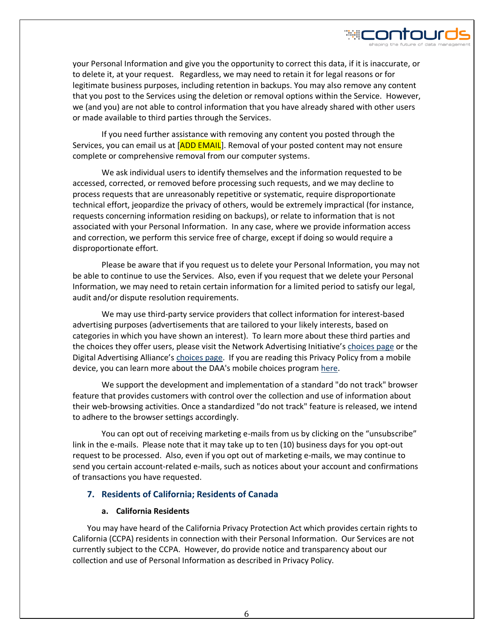

If you need further assistance with removing any content you posted through the Services, you can email us at [ADD EMAIL]. Removal of your posted content may not ensure complete or comprehensive removal from our computer systems.

We ask individual users to identify themselves and the information requested to be accessed, corrected, or removed before processing such requests, and we may decline to process requests that are unreasonably repetitive or systematic, require disproportionate technical effort, jeopardize the privacy of others, would be extremely impractical (for instance, requests concerning information residing on backups), or relate to information that is not associated with your Personal Information. In any case, where we provide information access and correction, we perform this service free of charge, except if doing so would require a disproportionate effort.

Please be aware that if you request us to delete your Personal Information, you may not be able to continue to use the Services. Also, even if you request that we delete your Personal Information, we may need to retain certain information for a limited period to satisfy our legal, audit and/or dispute resolution requirements.

We may use third-party service providers that collect information for interest-based advertising purposes (advertisements that are tailored to your likely interests, based on categories in which you have shown an interest). To learn more about these third parties and the choices they offer users, please visit the Network Advertising Initiative's [choices page](http://www.networkadvertising.org/choices/) or the Digital Advertising Alliance's [choices page.](http://www.aboutads.info/choices/) If you are reading this Privacy Policy from a mobile device, you can learn more about the DAA's mobile choices program [here.](http://www.aboutads.info/appchoices)

We support the development and implementation of a standard "do not track" browser feature that provides customers with control over the collection and use of information about their web-browsing activities. Once a standardized "do not track" feature is released, we intend to adhere to the browser settings accordingly.

You can opt out of receiving marketing e-mails from us by clicking on the "unsubscribe" link in the e-mails. Please note that it may take up to ten (10) business days for you opt-out request to be processed. Also, even if you opt out of marketing e-mails, we may continue to send you certain account-related e-mails, such as notices about your account and confirmations of transactions you have requested.

#### **7. Residents of California; Residents of Canada**

#### **a. California Residents**

You may have heard of the California Privacy Protection Act which provides certain rights to California (CCPA) residents in connection with their Personal Information. Our Services are not currently subject to the CCPA. However, do provide notice and transparency about our collection and use of Personal Information as described in Privacy Policy.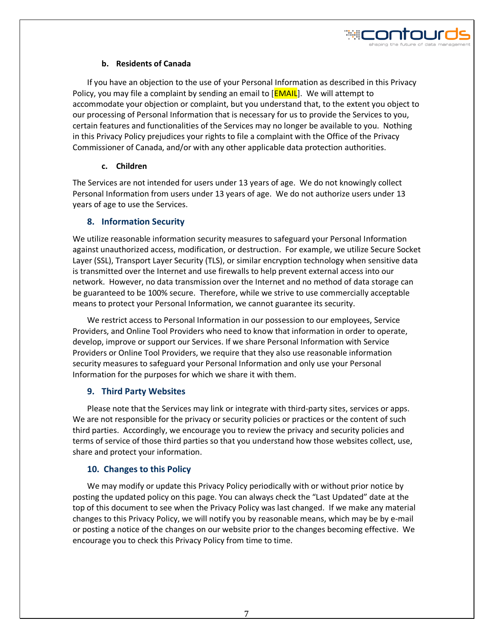

# **b. Residents of Canada**

If you have an objection to the use of your Personal Information as described in this Privacy Policy, you may file a complaint by sending an email to [**EMAIL**]. We will attempt to accommodate your objection or complaint, but you understand that, to the extent you object to our processing of Personal Information that is necessary for us to provide the Services to you, certain features and functionalities of the Services may no longer be available to you. Nothing in this Privacy Policy prejudices your rights to file a complaint with the Office of the Privacy Commissioner of Canada, and/or with any other applicable data protection authorities.

# **c. Children**

The Services are not intended for users under 13 years of age. We do not knowingly collect Personal Information from users under 13 years of age. We do not authorize users under 13 years of age to use the Services.

# **8. Information Security**

We utilize reasonable information security measures to safeguard your Personal Information against unauthorized access, modification, or destruction. For example, we utilize Secure Socket Layer (SSL), Transport Layer Security (TLS), or similar encryption technology when sensitive data is transmitted over the Internet and use firewalls to help prevent external access into our network. However, no data transmission over the Internet and no method of data storage can be guaranteed to be 100% secure. Therefore, while we strive to use commercially acceptable means to protect your Personal Information, we cannot guarantee its security.

We restrict access to Personal Information in our possession to our employees, Service Providers, and Online Tool Providers who need to know that information in order to operate, develop, improve or support our Services. If we share Personal Information with Service Providers or Online Tool Providers, we require that they also use reasonable information security measures to safeguard your Personal Information and only use your Personal Information for the purposes for which we share it with them.

# **9. Third Party Websites**

Please note that the Services may link or integrate with third-party sites, services or apps. We are not responsible for the privacy or security policies or practices or the content of such third parties. Accordingly, we encourage you to review the privacy and security policies and terms of service of those third parties so that you understand how those websites collect, use, share and protect your information.

# **10. Changes to this Policy**

We may modify or update this Privacy Policy periodically with or without prior notice by posting the updated policy on this page. You can always check the "Last Updated" date at the top of this document to see when the Privacy Policy was last changed. If we make any material changes to this Privacy Policy, we will notify you by reasonable means, which may be by e-mail or posting a notice of the changes on our website prior to the changes becoming effective. We encourage you to check this Privacy Policy from time to time.